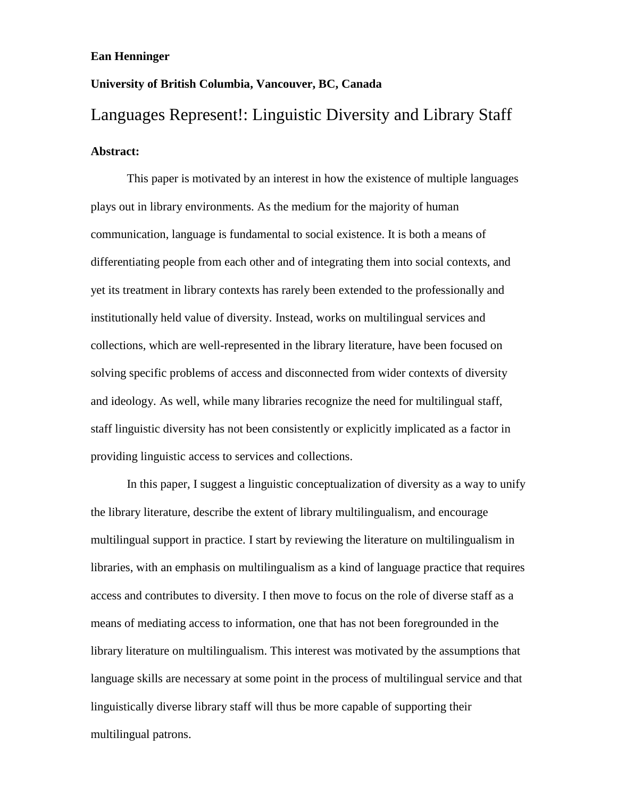## **Ean Henninger**

## **University of British Columbia, Vancouver, BC, Canada** Languages Represent!: Linguistic Diversity and Library Staff **Abstract:**

This paper is motivated by an interest in how the existence of multiple languages plays out in library environments. As the medium for the majority of human communication, language is fundamental to social existence. It is both a means of differentiating people from each other and of integrating them into social contexts, and yet its treatment in library contexts has rarely been extended to the professionally and institutionally held value of diversity. Instead, works on multilingual services and collections, which are well-represented in the library literature, have been focused on solving specific problems of access and disconnected from wider contexts of diversity and ideology. As well, while many libraries recognize the need for multilingual staff, staff linguistic diversity has not been consistently or explicitly implicated as a factor in providing linguistic access to services and collections.

In this paper, I suggest a linguistic conceptualization of diversity as a way to unify the library literature, describe the extent of library multilingualism, and encourage multilingual support in practice. I start by reviewing the literature on multilingualism in libraries, with an emphasis on multilingualism as a kind of language practice that requires access and contributes to diversity. I then move to focus on the role of diverse staff as a means of mediating access to information, one that has not been foregrounded in the library literature on multilingualism. This interest was motivated by the assumptions that language skills are necessary at some point in the process of multilingual service and that linguistically diverse library staff will thus be more capable of supporting their multilingual patrons.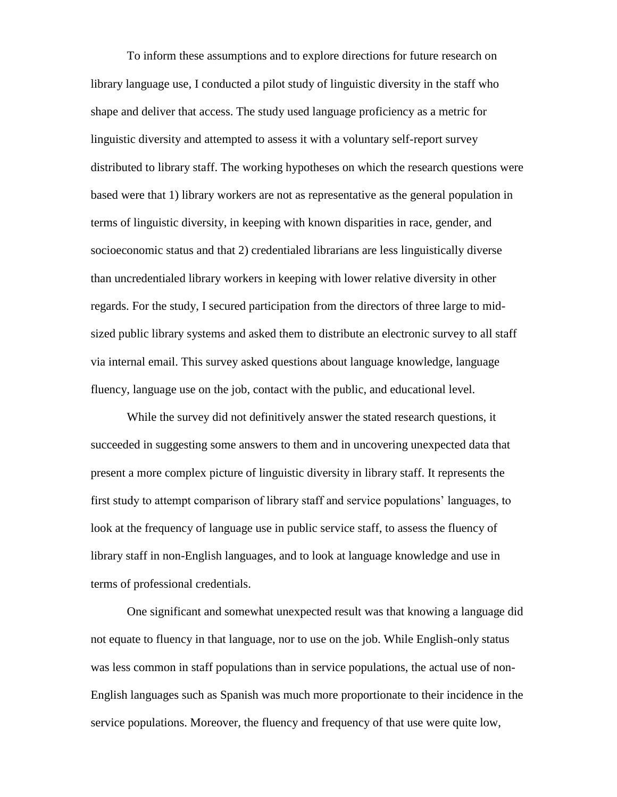To inform these assumptions and to explore directions for future research on library language use, I conducted a pilot study of linguistic diversity in the staff who shape and deliver that access. The study used language proficiency as a metric for linguistic diversity and attempted to assess it with a voluntary self-report survey distributed to library staff. The working hypotheses on which the research questions were based were that 1) library workers are not as representative as the general population in terms of linguistic diversity, in keeping with known disparities in race, gender, and socioeconomic status and that 2) credentialed librarians are less linguistically diverse than uncredentialed library workers in keeping with lower relative diversity in other regards. For the study, I secured participation from the directors of three large to midsized public library systems and asked them to distribute an electronic survey to all staff via internal email. This survey asked questions about language knowledge, language fluency, language use on the job, contact with the public, and educational level.

While the survey did not definitively answer the stated research questions, it succeeded in suggesting some answers to them and in uncovering unexpected data that present a more complex picture of linguistic diversity in library staff. It represents the first study to attempt comparison of library staff and service populations' languages, to look at the frequency of language use in public service staff, to assess the fluency of library staff in non-English languages, and to look at language knowledge and use in terms of professional credentials.

One significant and somewhat unexpected result was that knowing a language did not equate to fluency in that language, nor to use on the job. While English-only status was less common in staff populations than in service populations, the actual use of non-English languages such as Spanish was much more proportionate to their incidence in the service populations. Moreover, the fluency and frequency of that use were quite low,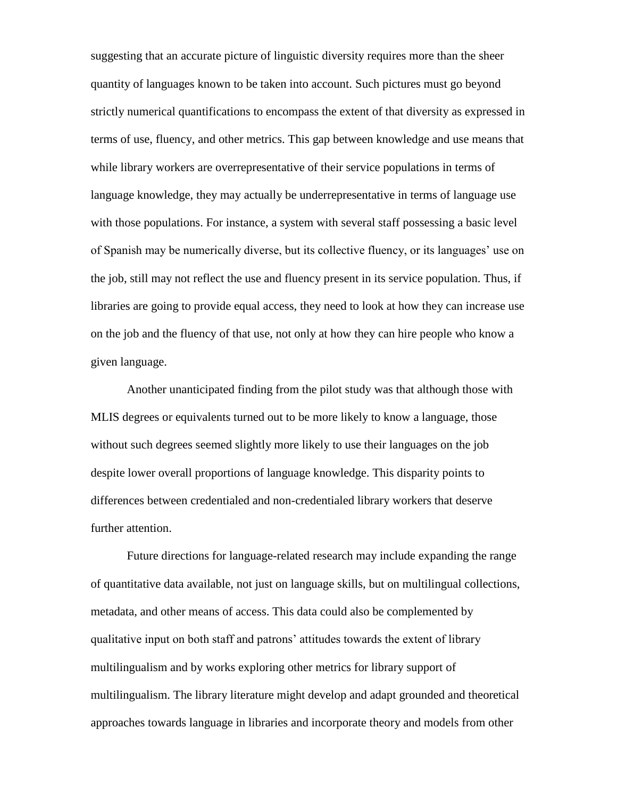suggesting that an accurate picture of linguistic diversity requires more than the sheer quantity of languages known to be taken into account. Such pictures must go beyond strictly numerical quantifications to encompass the extent of that diversity as expressed in terms of use, fluency, and other metrics. This gap between knowledge and use means that while library workers are overrepresentative of their service populations in terms of language knowledge, they may actually be underrepresentative in terms of language use with those populations. For instance, a system with several staff possessing a basic level of Spanish may be numerically diverse, but its collective fluency, or its languages' use on the job, still may not reflect the use and fluency present in its service population. Thus, if libraries are going to provide equal access, they need to look at how they can increase use on the job and the fluency of that use, not only at how they can hire people who know a given language.

Another unanticipated finding from the pilot study was that although those with MLIS degrees or equivalents turned out to be more likely to know a language, those without such degrees seemed slightly more likely to use their languages on the job despite lower overall proportions of language knowledge. This disparity points to differences between credentialed and non-credentialed library workers that deserve further attention.

Future directions for language-related research may include expanding the range of quantitative data available, not just on language skills, but on multilingual collections, metadata, and other means of access. This data could also be complemented by qualitative input on both staff and patrons' attitudes towards the extent of library multilingualism and by works exploring other metrics for library support of multilingualism. The library literature might develop and adapt grounded and theoretical approaches towards language in libraries and incorporate theory and models from other